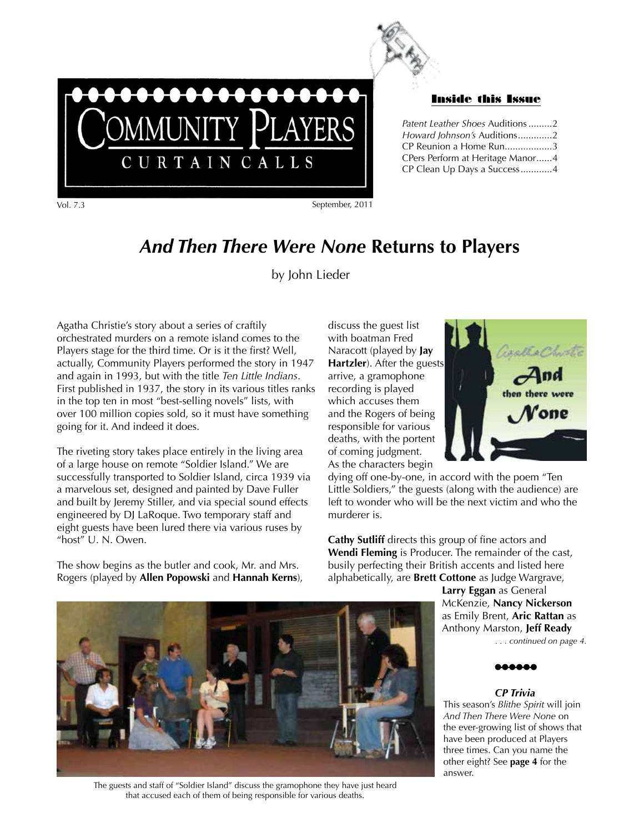

#### Inside this Issue

| Patent Leather Shoes Auditions 2 |  |
|----------------------------------|--|
| Howard Johnson's Auditions2      |  |
| CP Reunion a Home Run3           |  |
| CPers Perform at Heritage Manor4 |  |
| CP Clean Up Days a Success4      |  |
|                                  |  |

Vol. 7.3 September, 2011

# *And Then There Were None* **Returns to Players**

by John Lieder

Agatha Christie's story about a series of craftily orchestrated murders on a remote island comes to the Players stage for the third time. Or is it the first? Well, actually, Community Players performed the story in 1947 and again in 1993, but with the title *Ten Little Indians*. First published in 1937, the story in its various titles ranks in the top ten in most "best-selling novels" lists, with over 100 million copies sold, so it must have something going for it. And indeed it does.

MMUNITY PLAYERS

CURTAINCALLS

The riveting story takes place entirely in the living area of a large house on remote "Soldier Island." We are successfully transported to Soldier Island, circa 1939 via a marvelous set, designed and painted by Dave Fuller and built by Jeremy Stiller, and via special sound effects engineered by DJ LaRoque. Two temporary staff and eight guests have been lured there via various ruses by "host" U. N. Owen.

The show begins as the butler and cook, Mr. and Mrs. Rogers (played by **Allen Popowski** and **Hannah Kerns**),

discuss the guest list with boatman Fred Naracott (played by **Jay Hartzler**). After the guests arrive, a gramophone recording is played which accuses them and the Rogers of being responsible for various deaths, with the portent of coming judgment. As the characters begin



dying off one-by-one, in accord with the poem "Ten Little Soldiers," the guests (along with the audience) are left to wonder who will be the next victim and who the murderer is.

**Cathy Sutliff** directs this group of fine actors and **Wendi Fleming** is Producer. The remainder of the cast, busily perfecting their British accents and listed here alphabetically, are **Brett Cottone** as Judge Wargrave,

> **Larry Eggan** as General McKenzie, **Nancy Nickerson** as Emily Brent, **Aric Rattan** as Anthony Marston, **Jeff Ready** *. . . continued on page 4.*

l**-**l**-**l**-**l**-**l**-**l

### *CP Trivia*

This season's *Blithe Spirit* will join *And Then There Were None* on the ever-growing list of shows that have been produced at Players three times. Can you name the other eight? See **page 4** for the answer.



The guests and staff of "Soldier Island" discuss the gramophone they have just heard that accused each of them of being responsible for various deaths.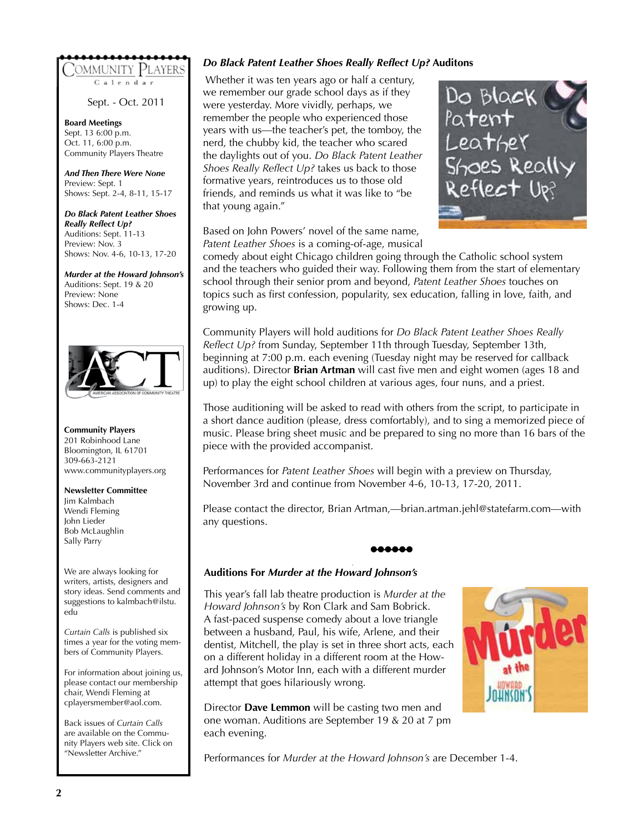## OMMUNITY PLAYERS'

Calendar

Sept. - Oct. 2011

**Board Meetings** Sept. 13 6:00 p.m. Oct. 11, 6:00 p.m. Community Players Theatre

*And Then There Were None* Preview: Sept. 1 Shows: Sept. 2-4, 8-11, 15-17

*Do Black Patent Leather Shoes Really Reflect Up?* Auditions: Sept. 11-13 Preview: Nov. 3 Shows: Nov. 4-6, 10-13, 17-20

*Murder at the Howard Johnson's* Auditions: Sept. 19 & 20 Preview: None Shows: Dec. 1-4



**Community Players** 201 Robinhood Lane Bloomington, IL 61701 309-663-2121 www.communityplayers.org

#### **Newsletter Committee**

Jim Kalmbach Wendi Fleming John Lieder Bob McLaughlin Sally Parry

We are always looking for writers, artists, designers and story ideas. Send comments and suggestions to kalmbach@ilstu. edu

*Curtain Calls* is published six times a year for the voting members of Community Players.

For information about joining us, please contact our membership chair, Wendi Fleming at cplayersmember@aol.com.

Back issues of *Curtain Calls* are available on the Community Players web site. Click on "Newsletter Archive."

## *Do Black Patent Leather Shoes Really Reflect Up?* **Auditons**

 Whether it was ten years ago or half a century, we remember our grade school days as if they were yesterday. More vividly, perhaps, we remember the people who experienced those years with us—the teacher's pet, the tomboy, the nerd, the chubby kid, the teacher who scared the daylights out of you. *Do Black Patent Leather Shoes Really Reflect Up?* takes us back to those formative years, reintroduces us to those old friends, and reminds us what it was like to "be that young again."



Based on John Powers' novel of the same name, *Patent Leather Shoes* is a coming-of-age, musical

comedy about eight Chicago children going through the Catholic school system and the teachers who guided their way. Following them from the start of elementary school through their senior prom and beyond, *Patent Leather Shoes* touches on topics such as first confession, popularity, sex education, falling in love, faith, and growing up.

Community Players will hold auditions for *Do Black Patent Leather Shoes Really Reflect Up?* from Sunday, September 11th through Tuesday, September 13th, beginning at 7:00 p.m. each evening (Tuesday night may be reserved for callback auditions). Director **Brian Artman** will cast five men and eight women (ages 18 and up) to play the eight school children at various ages, four nuns, and a priest.

Those auditioning will be asked to read with others from the script, to participate in a short dance audition (please, dress comfortably), and to sing a memorized piece of music. Please bring sheet music and be prepared to sing no more than 16 bars of the piece with the provided accompanist.

Performances for *Patent Leather Shoes* will begin with a preview on Thursday, November 3rd and continue from November 4-6, 10-13, 17-20, 2011.

Please contact the director, Brian Artman,—brian.artman.jehl@statefarm.com—with any questions.



## **Auditions For** *Murder at the Howard Johnson's*

This year's fall lab theatre production is *Murder at the Howard Johnson's* by Ron Clark and Sam Bobrick. A fast-paced suspense comedy about a love triangle between a husband, Paul, his wife, Arlene, and their dentist, Mitchell, the play is set in three short acts, each on a different holiday in a different room at the Howard Johnson's Motor Inn, each with a different murder attempt that goes hilariously wrong.

Director **Dave Lemmon** will be casting two men and one woman. Auditions are September 19 & 20 at 7 pm each evening.

Performances for *Murder at the Howard Johnson's* are December 1-4.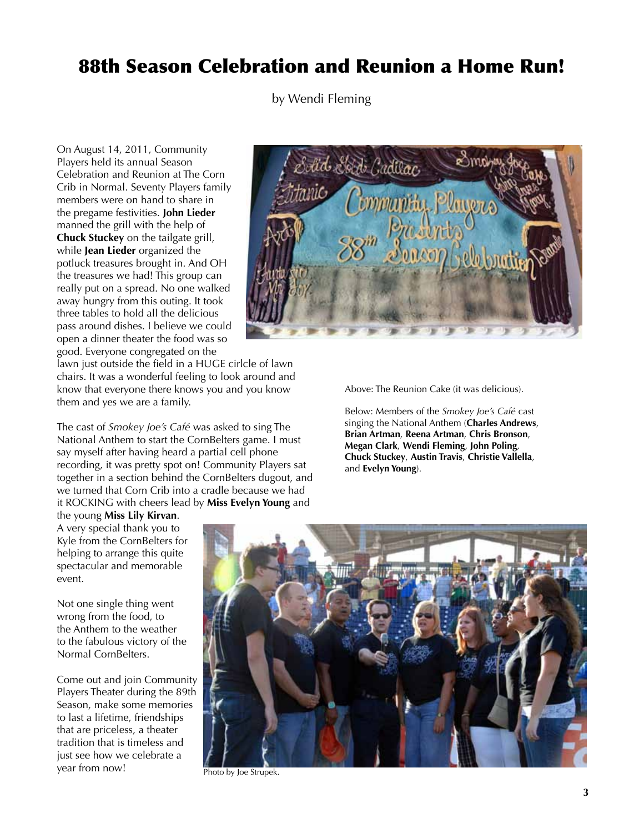# 88th Season Celebration and Reunion a Home Run!

by Wendi Fleming

On August 14, 2011, Community Players held its annual Season Celebration and Reunion at The Corn Crib in Normal. Seventy Players family members were on hand to share in the pregame festivities. **John Lieder** manned the grill with the help of **Chuck Stuckey** on the tailgate grill, while **Jean Lieder** organized the potluck treasures brought in. And OH the treasures we had! This group can really put on a spread. No one walked away hungry from this outing. It took three tables to hold all the delicious pass around dishes. I believe we could open a dinner theater the food was so good. Everyone congregated on the



lawn just outside the field in a HUGE cirlcle of lawn chairs. It was a wonderful feeling to look around and know that everyone there knows you and you know them and yes we are a family.

The cast of *Smokey Joe's Café* was asked to sing The National Anthem to start the CornBelters game. I must say myself after having heard a partial cell phone recording, it was pretty spot on! Community Players sat together in a section behind the CornBelters dugout, and we turned that Corn Crib into a cradle because we had it ROCKING with cheers lead by **Miss Evelyn Young** and

the young **Miss Lily Kirvan**. A very special thank you to

Kyle from the CornBelters for helping to arrange this quite spectacular and memorable event.

Not one single thing went wrong from the food, to the Anthem to the weather to the fabulous victory of the Normal CornBelters.

Come out and join Community Players Theater during the 89th Season, make some memories to last a lifetime, friendships that are priceless, a theater tradition that is timeless and just see how we celebrate a year from now!

Above: The Reunion Cake (it was delicious).

Below: Members of the *Smokey Joe's Café* cast singing the National Anthem (**Charles Andrews**, **Brian Artman**, **Reena Artman**, **Chris Bronson**, **Megan Clark**, **Wendi Fleming**, **John Poling**, **Chuck Stuckey**, **Austin Travis**, **Christie Vallella**, and **Evelyn Young**).



Photo by Joe Strupek.